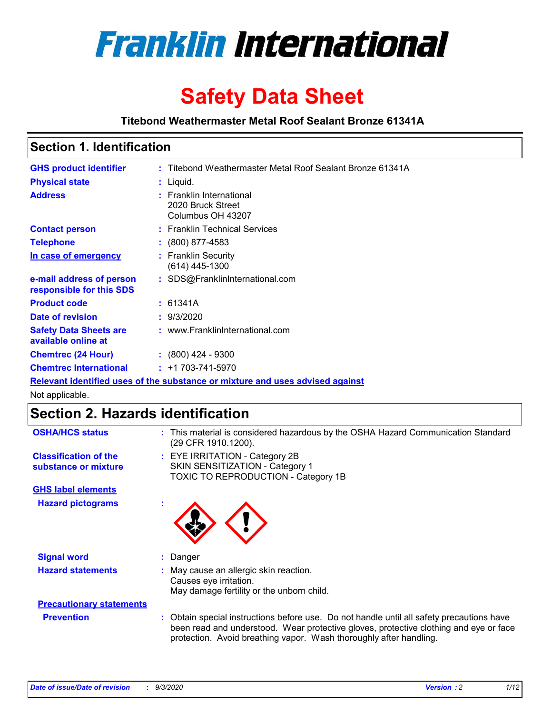

# **Safety Data Sheet**

**Titebond Weathermaster Metal Roof Sealant Bronze 61341A**

### **Section 1. Identification**

| <b>GHS product identifier</b>                                                 |  | : Titebond Weathermaster Metal Roof Sealant Bronze 61341A          |  |
|-------------------------------------------------------------------------------|--|--------------------------------------------------------------------|--|
| <b>Physical state</b>                                                         |  | : Liquid.                                                          |  |
| <b>Address</b>                                                                |  | : Franklin International<br>2020 Bruck Street<br>Columbus OH 43207 |  |
| <b>Contact person</b>                                                         |  | : Franklin Technical Services                                      |  |
| <b>Telephone</b>                                                              |  | $\div$ (800) 877-4583                                              |  |
| In case of emergency                                                          |  | : Franklin Security<br>(614) 445-1300                              |  |
| e-mail address of person<br>responsible for this SDS                          |  | : SDS@FranklinInternational.com                                    |  |
| <b>Product code</b>                                                           |  | : 61341A                                                           |  |
| Date of revision                                                              |  | : 9/3/2020                                                         |  |
| <b>Safety Data Sheets are</b><br>available online at                          |  | : www.FranklinInternational.com                                    |  |
| <b>Chemtrec (24 Hour)</b>                                                     |  | $: (800)$ 424 - 9300                                               |  |
| <b>Chemtrec International</b>                                                 |  | $: +1703 - 741 - 5970$                                             |  |
| Relevant identified uses of the substance or mixture and uses advised against |  |                                                                    |  |

Not applicable.

# **Section 2. Hazards identification**

| <b>OSHA/HCS status</b>                               |    | : This material is considered hazardous by the OSHA Hazard Communication Standard<br>(29 CFR 1910.1200).                                                                                                                                                 |
|------------------------------------------------------|----|----------------------------------------------------------------------------------------------------------------------------------------------------------------------------------------------------------------------------------------------------------|
| <b>Classification of the</b><br>substance or mixture |    | : EYE IRRITATION - Category 2B<br>SKIN SENSITIZATION - Category 1<br>TOXIC TO REPRODUCTION - Category 1B                                                                                                                                                 |
| <b>GHS label elements</b>                            |    |                                                                                                                                                                                                                                                          |
| <b>Hazard pictograms</b>                             | ٠  |                                                                                                                                                                                                                                                          |
| <b>Signal word</b>                                   | ÷. | Danger                                                                                                                                                                                                                                                   |
| <b>Hazard statements</b>                             |    | May cause an allergic skin reaction.<br>Causes eye irritation.<br>May damage fertility or the unborn child.                                                                                                                                              |
| <b>Precautionary statements</b>                      |    |                                                                                                                                                                                                                                                          |
| <b>Prevention</b>                                    |    | : Obtain special instructions before use. Do not handle until all safety precautions have<br>been read and understood. Wear protective gloves, protective clothing and eye or face<br>protection. Avoid breathing vapor. Wash thoroughly after handling. |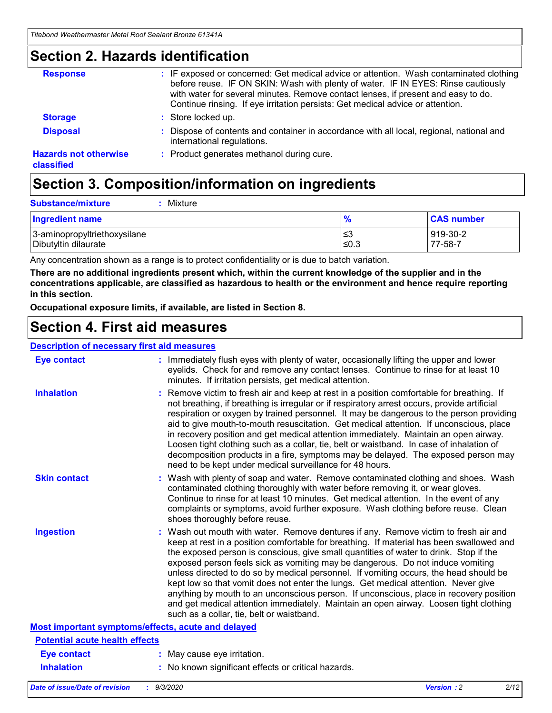### **Section 2. Hazards identification**

| <b>Response</b>                            | : IF exposed or concerned: Get medical advice or attention. Wash contaminated clothing<br>before reuse. IF ON SKIN: Wash with plenty of water. IF IN EYES: Rinse cautiously<br>with water for several minutes. Remove contact lenses, if present and easy to do.<br>Continue rinsing. If eye irritation persists: Get medical advice or attention. |
|--------------------------------------------|----------------------------------------------------------------------------------------------------------------------------------------------------------------------------------------------------------------------------------------------------------------------------------------------------------------------------------------------------|
| <b>Storage</b>                             | : Store locked up.                                                                                                                                                                                                                                                                                                                                 |
| <b>Disposal</b>                            | : Dispose of contents and container in accordance with all local, regional, national and<br>international regulations.                                                                                                                                                                                                                             |
| <b>Hazards not otherwise</b><br>classified | : Product generates methanol during cure.                                                                                                                                                                                                                                                                                                          |

# **Section 3. Composition/information on ingredients**

| <b>Substance/mixture</b> |  | : Mixture |
|--------------------------|--|-----------|
|--------------------------|--|-----------|

| <b>Ingredient name</b>       | $\frac{9}{6}$ | <b>CAS number</b> |
|------------------------------|---------------|-------------------|
| 3-aminopropyltriethoxysilane | ≤3            | 919-30-2          |
| Dibutyltin dilaurate         | ∣≤0.3         | 77-58-7           |

Any concentration shown as a range is to protect confidentiality or is due to batch variation.

**There are no additional ingredients present which, within the current knowledge of the supplier and in the concentrations applicable, are classified as hazardous to health or the environment and hence require reporting in this section.**

**Occupational exposure limits, if available, are listed in Section 8.**

### **Section 4. First aid measures**

| <b>Description of necessary first aid measures</b> |                                                                                                                                                                                                                                                                                                                                                                                                                                                                                                                                                                                                                                                                                                                                                                           |
|----------------------------------------------------|---------------------------------------------------------------------------------------------------------------------------------------------------------------------------------------------------------------------------------------------------------------------------------------------------------------------------------------------------------------------------------------------------------------------------------------------------------------------------------------------------------------------------------------------------------------------------------------------------------------------------------------------------------------------------------------------------------------------------------------------------------------------------|
| <b>Eye contact</b>                                 | : Immediately flush eyes with plenty of water, occasionally lifting the upper and lower<br>eyelids. Check for and remove any contact lenses. Continue to rinse for at least 10<br>minutes. If irritation persists, get medical attention.                                                                                                                                                                                                                                                                                                                                                                                                                                                                                                                                 |
| <b>Inhalation</b>                                  | : Remove victim to fresh air and keep at rest in a position comfortable for breathing. If<br>not breathing, if breathing is irregular or if respiratory arrest occurs, provide artificial<br>respiration or oxygen by trained personnel. It may be dangerous to the person providing<br>aid to give mouth-to-mouth resuscitation. Get medical attention. If unconscious, place<br>in recovery position and get medical attention immediately. Maintain an open airway.<br>Loosen tight clothing such as a collar, tie, belt or waistband. In case of inhalation of<br>decomposition products in a fire, symptoms may be delayed. The exposed person may<br>need to be kept under medical surveillance for 48 hours.                                                       |
| <b>Skin contact</b>                                | : Wash with plenty of soap and water. Remove contaminated clothing and shoes. Wash<br>contaminated clothing thoroughly with water before removing it, or wear gloves.<br>Continue to rinse for at least 10 minutes. Get medical attention. In the event of any<br>complaints or symptoms, avoid further exposure. Wash clothing before reuse. Clean<br>shoes thoroughly before reuse.                                                                                                                                                                                                                                                                                                                                                                                     |
| <b>Ingestion</b>                                   | : Wash out mouth with water. Remove dentures if any. Remove victim to fresh air and<br>keep at rest in a position comfortable for breathing. If material has been swallowed and<br>the exposed person is conscious, give small quantities of water to drink. Stop if the<br>exposed person feels sick as vomiting may be dangerous. Do not induce vomiting<br>unless directed to do so by medical personnel. If vomiting occurs, the head should be<br>kept low so that vomit does not enter the lungs. Get medical attention. Never give<br>anything by mouth to an unconscious person. If unconscious, place in recovery position<br>and get medical attention immediately. Maintain an open airway. Loosen tight clothing<br>such as a collar, tie, belt or waistband. |
| Most important symptoms/effects, acute and delayed |                                                                                                                                                                                                                                                                                                                                                                                                                                                                                                                                                                                                                                                                                                                                                                           |
| <b>Potential acute health effects</b>              |                                                                                                                                                                                                                                                                                                                                                                                                                                                                                                                                                                                                                                                                                                                                                                           |
| <b>Eye contact</b>                                 | : May cause eye irritation.                                                                                                                                                                                                                                                                                                                                                                                                                                                                                                                                                                                                                                                                                                                                               |
| <b>Inhalation</b>                                  | : No known significant effects or critical hazards.                                                                                                                                                                                                                                                                                                                                                                                                                                                                                                                                                                                                                                                                                                                       |
|                                                    |                                                                                                                                                                                                                                                                                                                                                                                                                                                                                                                                                                                                                                                                                                                                                                           |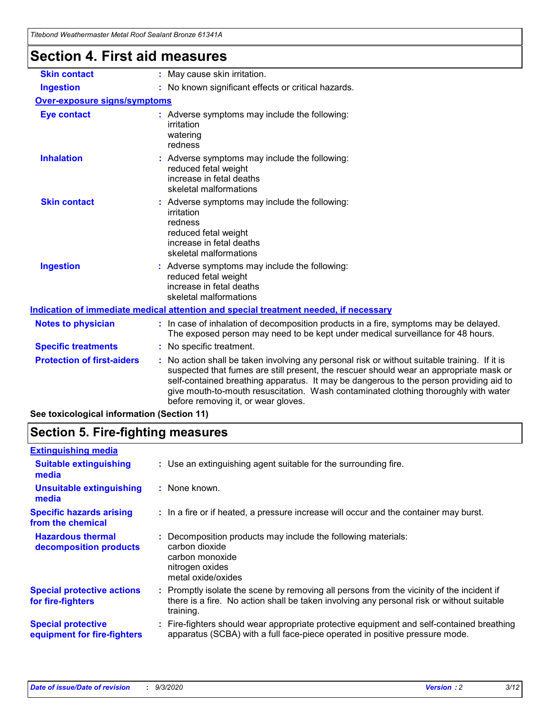| Titebond Weathermaster Metal Roof Sealant Bronze 61341A<br><b>Section 4. First aid measures</b> |                                                                                                                                                                                                                                                                                                                                                                                                                 |
|-------------------------------------------------------------------------------------------------|-----------------------------------------------------------------------------------------------------------------------------------------------------------------------------------------------------------------------------------------------------------------------------------------------------------------------------------------------------------------------------------------------------------------|
| <b>Skin contact</b>                                                                             | : May cause skin irritation.                                                                                                                                                                                                                                                                                                                                                                                    |
| <b>Ingestion</b>                                                                                | : No known significant effects or critical hazards.                                                                                                                                                                                                                                                                                                                                                             |
| <b>Over-exposure signs/symptoms</b>                                                             |                                                                                                                                                                                                                                                                                                                                                                                                                 |
| <b>Eye contact</b>                                                                              | : Adverse symptoms may include the following:<br>irritation<br>watering<br>redness                                                                                                                                                                                                                                                                                                                              |
| <b>Inhalation</b>                                                                               | : Adverse symptoms may include the following:<br>reduced fetal weight<br>increase in fetal deaths<br>skeletal malformations                                                                                                                                                                                                                                                                                     |
| <b>Skin contact</b>                                                                             | Adverse symptoms may include the following:<br>irritation<br>redness<br>reduced fetal weight<br>increase in fetal deaths<br>skeletal malformations                                                                                                                                                                                                                                                              |
| <b>Ingestion</b>                                                                                | : Adverse symptoms may include the following:<br>reduced fetal weight<br>increase in fetal deaths<br>skeletal malformations                                                                                                                                                                                                                                                                                     |
|                                                                                                 | Indication of immediate medical attention and special treatment needed, if necessary                                                                                                                                                                                                                                                                                                                            |
| <b>Notes to physician</b>                                                                       | : In case of inhalation of decomposition products in a fire, symptoms may be delayed.<br>The exposed person may need to be kept under medical surveillance for 48 hours.                                                                                                                                                                                                                                        |
| <b>Specific treatments</b>                                                                      | : No specific treatment.                                                                                                                                                                                                                                                                                                                                                                                        |
| <b>Protection of first-aiders</b>                                                               | : No action shall be taken involving any personal risk or without suitable training. If it is<br>suspected that fumes are still present, the rescuer should wear an appropriate mask or<br>self-contained breathing apparatus. It may be dangerous to the person providing aid to<br>give mouth-to-mouth resuscitation. Wash contaminated clothing thoroughly with water<br>before removing it, or wear gloves. |

**See toxicological information (Section 11)**

# **Section 5. Fire-fighting measures**

| <b>Extinguishing media</b>                               |                                                                                                                                                                                                     |
|----------------------------------------------------------|-----------------------------------------------------------------------------------------------------------------------------------------------------------------------------------------------------|
| <b>Suitable extinguishing</b><br>media                   | : Use an extinguishing agent suitable for the surrounding fire.                                                                                                                                     |
| <b>Unsuitable extinguishing</b><br>media                 | : None known.                                                                                                                                                                                       |
| <b>Specific hazards arising</b><br>from the chemical     | : In a fire or if heated, a pressure increase will occur and the container may burst.                                                                                                               |
| <b>Hazardous thermal</b><br>decomposition products       | : Decomposition products may include the following materials:<br>carbon dioxide<br>carbon monoxide<br>nitrogen oxides<br>metal oxide/oxides                                                         |
| <b>Special protective actions</b><br>for fire-fighters   | : Promptly isolate the scene by removing all persons from the vicinity of the incident if<br>there is a fire. No action shall be taken involving any personal risk or without suitable<br>training. |
| <b>Special protective</b><br>equipment for fire-fighters | Fire-fighters should wear appropriate protective equipment and self-contained breathing<br>apparatus (SCBA) with a full face-piece operated in positive pressure mode.                              |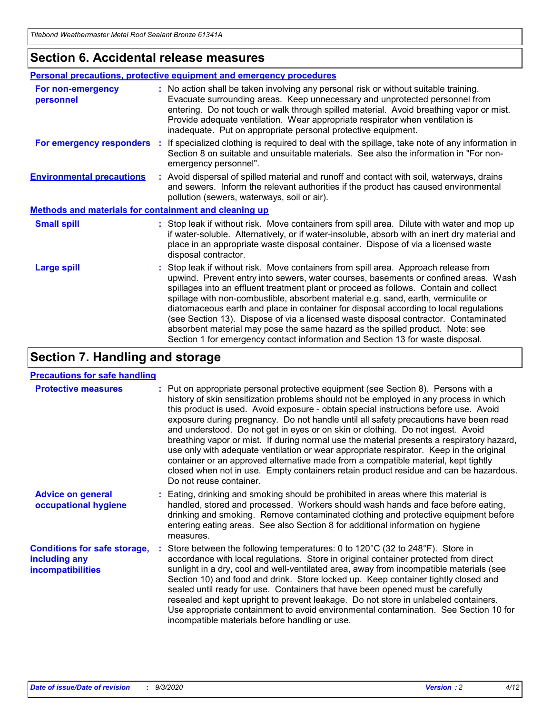### **Section 6. Accidental release measures**

|                                                              | <b>Personal precautions, protective equipment and emergency procedures</b>                                                                                                                                                                                                                                                                                                                                                                                                                                                                                                                                                                                                                                   |
|--------------------------------------------------------------|--------------------------------------------------------------------------------------------------------------------------------------------------------------------------------------------------------------------------------------------------------------------------------------------------------------------------------------------------------------------------------------------------------------------------------------------------------------------------------------------------------------------------------------------------------------------------------------------------------------------------------------------------------------------------------------------------------------|
| For non-emergency<br>personnel                               | : No action shall be taken involving any personal risk or without suitable training.<br>Evacuate surrounding areas. Keep unnecessary and unprotected personnel from<br>entering. Do not touch or walk through spilled material. Avoid breathing vapor or mist.<br>Provide adequate ventilation. Wear appropriate respirator when ventilation is<br>inadequate. Put on appropriate personal protective equipment.                                                                                                                                                                                                                                                                                             |
| For emergency responders                                     | : If specialized clothing is required to deal with the spillage, take note of any information in<br>Section 8 on suitable and unsuitable materials. See also the information in "For non-<br>emergency personnel".                                                                                                                                                                                                                                                                                                                                                                                                                                                                                           |
| <b>Environmental precautions</b>                             | : Avoid dispersal of spilled material and runoff and contact with soil, waterways, drains<br>and sewers. Inform the relevant authorities if the product has caused environmental<br>pollution (sewers, waterways, soil or air).                                                                                                                                                                                                                                                                                                                                                                                                                                                                              |
| <b>Methods and materials for containment and cleaning up</b> |                                                                                                                                                                                                                                                                                                                                                                                                                                                                                                                                                                                                                                                                                                              |
| <b>Small spill</b>                                           | : Stop leak if without risk. Move containers from spill area. Dilute with water and mop up<br>if water-soluble. Alternatively, or if water-insoluble, absorb with an inert dry material and<br>place in an appropriate waste disposal container. Dispose of via a licensed waste<br>disposal contractor.                                                                                                                                                                                                                                                                                                                                                                                                     |
| <b>Large spill</b>                                           | : Stop leak if without risk. Move containers from spill area. Approach release from<br>upwind. Prevent entry into sewers, water courses, basements or confined areas. Wash<br>spillages into an effluent treatment plant or proceed as follows. Contain and collect<br>spillage with non-combustible, absorbent material e.g. sand, earth, vermiculite or<br>diatomaceous earth and place in container for disposal according to local regulations<br>(see Section 13). Dispose of via a licensed waste disposal contractor. Contaminated<br>absorbent material may pose the same hazard as the spilled product. Note: see<br>Section 1 for emergency contact information and Section 13 for waste disposal. |

# **Section 7. Handling and storage**

#### **Precautions for safe handling**

| <b>Protective measures</b>                                                       | : Put on appropriate personal protective equipment (see Section 8). Persons with a<br>history of skin sensitization problems should not be employed in any process in which<br>this product is used. Avoid exposure - obtain special instructions before use. Avoid<br>exposure during pregnancy. Do not handle until all safety precautions have been read<br>and understood. Do not get in eyes or on skin or clothing. Do not ingest. Avoid<br>breathing vapor or mist. If during normal use the material presents a respiratory hazard,<br>use only with adequate ventilation or wear appropriate respirator. Keep in the original<br>container or an approved alternative made from a compatible material, kept tightly<br>closed when not in use. Empty containers retain product residue and can be hazardous.<br>Do not reuse container. |
|----------------------------------------------------------------------------------|--------------------------------------------------------------------------------------------------------------------------------------------------------------------------------------------------------------------------------------------------------------------------------------------------------------------------------------------------------------------------------------------------------------------------------------------------------------------------------------------------------------------------------------------------------------------------------------------------------------------------------------------------------------------------------------------------------------------------------------------------------------------------------------------------------------------------------------------------|
| <b>Advice on general</b><br>occupational hygiene                                 | : Eating, drinking and smoking should be prohibited in areas where this material is<br>handled, stored and processed. Workers should wash hands and face before eating,<br>drinking and smoking. Remove contaminated clothing and protective equipment before<br>entering eating areas. See also Section 8 for additional information on hygiene<br>measures.                                                                                                                                                                                                                                                                                                                                                                                                                                                                                    |
| <b>Conditions for safe storage,</b><br>including any<br><i>incompatibilities</i> | Store between the following temperatures: 0 to 120°C (32 to 248°F). Store in<br>accordance with local regulations. Store in original container protected from direct<br>sunlight in a dry, cool and well-ventilated area, away from incompatible materials (see<br>Section 10) and food and drink. Store locked up. Keep container tightly closed and<br>sealed until ready for use. Containers that have been opened must be carefully<br>resealed and kept upright to prevent leakage. Do not store in unlabeled containers.<br>Use appropriate containment to avoid environmental contamination. See Section 10 for<br>incompatible materials before handling or use.                                                                                                                                                                         |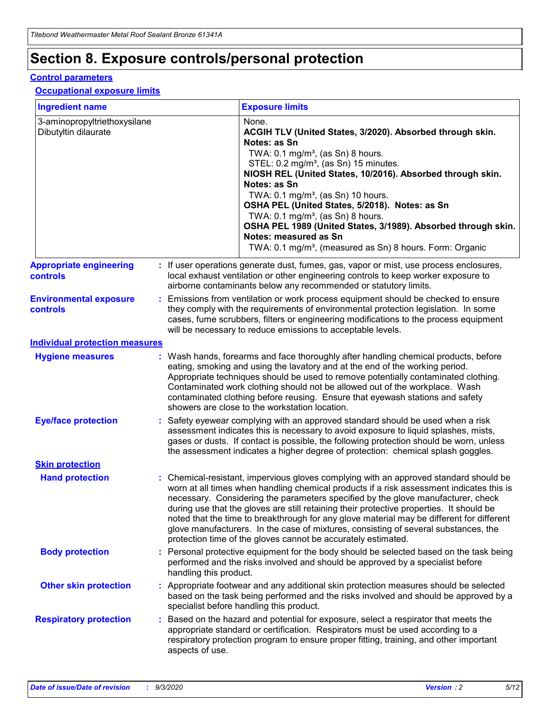# **Section 8. Exposure controls/personal protection**

#### **Control parameters**

#### **Occupational exposure limits**

| <b>Ingredient name</b>                               |    |                        | <b>Exposure limits</b>                                                                                                                                                                                                                                                                                                                                                                                                                                                                                                                                                                                                 |
|------------------------------------------------------|----|------------------------|------------------------------------------------------------------------------------------------------------------------------------------------------------------------------------------------------------------------------------------------------------------------------------------------------------------------------------------------------------------------------------------------------------------------------------------------------------------------------------------------------------------------------------------------------------------------------------------------------------------------|
| 3-aminopropyltriethoxysilane<br>Dibutyltin dilaurate |    |                        | None.<br>ACGIH TLV (United States, 3/2020). Absorbed through skin.<br>Notes: as Sn<br>TWA: $0.1 \text{ mg/m}^3$ , (as Sn) 8 hours.<br>STEL: 0.2 mg/m <sup>3</sup> , (as Sn) 15 minutes.<br>NIOSH REL (United States, 10/2016). Absorbed through skin.<br>Notes: as Sn<br>TWA: 0.1 mg/m <sup>3</sup> , (as Sn) 10 hours.<br>OSHA PEL (United States, 5/2018). Notes: as Sn<br>TWA: $0.1 \text{ mg/m}^3$ , (as Sn) 8 hours.<br>OSHA PEL 1989 (United States, 3/1989). Absorbed through skin.<br>Notes: measured as Sn<br>TWA: 0.1 mg/m <sup>3</sup> , (measured as Sn) 8 hours. Form: Organic                            |
| <b>Appropriate engineering</b><br>controls           |    |                        | : If user operations generate dust, fumes, gas, vapor or mist, use process enclosures,<br>local exhaust ventilation or other engineering controls to keep worker exposure to<br>airborne contaminants below any recommended or statutory limits.                                                                                                                                                                                                                                                                                                                                                                       |
| <b>Environmental exposure</b><br><b>controls</b>     |    |                        | Emissions from ventilation or work process equipment should be checked to ensure<br>they comply with the requirements of environmental protection legislation. In some<br>cases, fume scrubbers, filters or engineering modifications to the process equipment<br>will be necessary to reduce emissions to acceptable levels.                                                                                                                                                                                                                                                                                          |
| <b>Individual protection measures</b>                |    |                        |                                                                                                                                                                                                                                                                                                                                                                                                                                                                                                                                                                                                                        |
| <b>Hygiene measures</b>                              |    |                        | : Wash hands, forearms and face thoroughly after handling chemical products, before<br>eating, smoking and using the lavatory and at the end of the working period.<br>Appropriate techniques should be used to remove potentially contaminated clothing.<br>Contaminated work clothing should not be allowed out of the workplace. Wash<br>contaminated clothing before reusing. Ensure that eyewash stations and safety<br>showers are close to the workstation location.                                                                                                                                            |
| <b>Eye/face protection</b>                           |    |                        | Safety eyewear complying with an approved standard should be used when a risk<br>assessment indicates this is necessary to avoid exposure to liquid splashes, mists,<br>gases or dusts. If contact is possible, the following protection should be worn, unless<br>the assessment indicates a higher degree of protection: chemical splash goggles.                                                                                                                                                                                                                                                                    |
| <b>Skin protection</b>                               |    |                        |                                                                                                                                                                                                                                                                                                                                                                                                                                                                                                                                                                                                                        |
| <b>Hand protection</b>                               |    |                        | : Chemical-resistant, impervious gloves complying with an approved standard should be<br>worn at all times when handling chemical products if a risk assessment indicates this is<br>necessary. Considering the parameters specified by the glove manufacturer, check<br>during use that the gloves are still retaining their protective properties. It should be<br>noted that the time to breakthrough for any glove material may be different for different<br>glove manufacturers. In the case of mixtures, consisting of several substances, the<br>protection time of the gloves cannot be accurately estimated. |
| <b>Body protection</b>                               |    | handling this product. | Personal protective equipment for the body should be selected based on the task being<br>performed and the risks involved and should be approved by a specialist before                                                                                                                                                                                                                                                                                                                                                                                                                                                |
| <b>Other skin protection</b>                         |    |                        | Appropriate footwear and any additional skin protection measures should be selected<br>based on the task being performed and the risks involved and should be approved by a<br>specialist before handling this product.                                                                                                                                                                                                                                                                                                                                                                                                |
| <b>Respiratory protection</b>                        | ÷. | aspects of use.        | Based on the hazard and potential for exposure, select a respirator that meets the<br>appropriate standard or certification. Respirators must be used according to a<br>respiratory protection program to ensure proper fitting, training, and other important                                                                                                                                                                                                                                                                                                                                                         |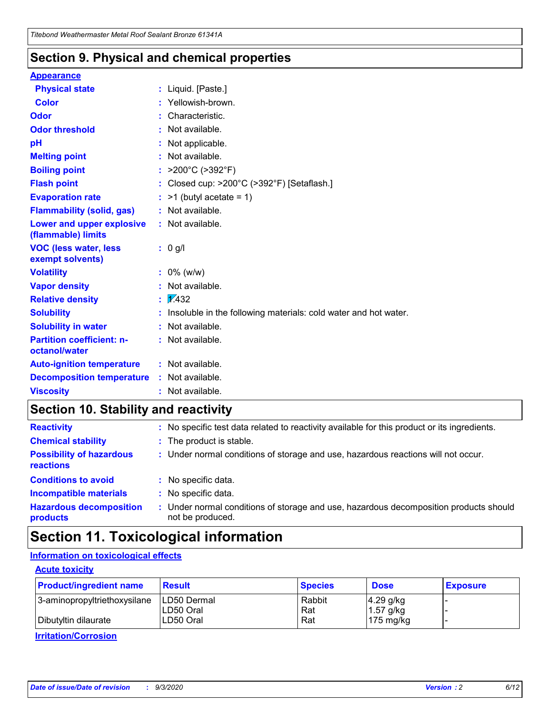### **Section 9. Physical and chemical properties**

#### **Appearance**

| <b>Physical state</b>                             | : Liquid. [Paste.]                                              |
|---------------------------------------------------|-----------------------------------------------------------------|
| Color                                             | Yellowish-brown.                                                |
| Odor                                              | : Characteristic.                                               |
| <b>Odor threshold</b>                             | : Not available.                                                |
| рH                                                | : Not applicable.                                               |
| <b>Melting point</b>                              | : Not available.                                                |
| <b>Boiling point</b>                              | : $>200^{\circ}$ C ( $>392^{\circ}$ F)                          |
| <b>Flash point</b>                                | : Closed cup: $>200^{\circ}$ C ( $>392^{\circ}$ F) [Setaflash.] |
| <b>Evaporation rate</b>                           | $:$ >1 (butyl acetate = 1)                                      |
| <b>Flammability (solid, gas)</b>                  | : Not available.                                                |
| Lower and upper explosive<br>(flammable) limits   | $:$ Not available.                                              |
| <b>VOC (less water, less</b><br>exempt solvents)  | : 0 g/l                                                         |
| <b>Volatility</b>                                 | $: 0\%$ (w/w)                                                   |
| <b>Vapor density</b>                              | : Not available.                                                |
| <b>Relative density</b>                           | $\frac{1}{2}$ $\frac{1}{432}$                                   |
| <b>Solubility</b>                                 | Insoluble in the following materials: cold water and hot water. |
| <b>Solubility in water</b>                        | : Not available.                                                |
| <b>Partition coefficient: n-</b><br>octanol/water | $:$ Not available.                                              |
| <b>Auto-ignition temperature</b>                  | : Not available.                                                |
| <b>Decomposition temperature</b>                  | : Not available.                                                |
| <b>Viscosity</b>                                  | : Not available.                                                |

### **Section 10. Stability and reactivity**

| <b>Reactivity</b>                            |    | : No specific test data related to reactivity available for this product or its ingredients.            |
|----------------------------------------------|----|---------------------------------------------------------------------------------------------------------|
| <b>Chemical stability</b>                    |    | : The product is stable.                                                                                |
| <b>Possibility of hazardous</b><br>reactions |    | : Under normal conditions of storage and use, hazardous reactions will not occur.                       |
| <b>Conditions to avoid</b>                   |    | : No specific data.                                                                                     |
| <b>Incompatible materials</b>                |    | : No specific data.                                                                                     |
| <b>Hazardous decomposition</b><br>products   | ÷. | Under normal conditions of storage and use, hazardous decomposition products should<br>not be produced. |

# **Section 11. Toxicological information**

#### **Information on toxicological effects**

#### **Acute toxicity**

| <b>Product/ingredient name</b> | <b>Result</b>           | <b>Species</b> | <b>Dose</b>                | <b>Exposure</b> |
|--------------------------------|-------------------------|----------------|----------------------------|-----------------|
| 3-aminopropyltriethoxysilane   | <b>ILD50 Dermal</b>     | Rabbit         | 4.29 g/kg                  |                 |
| Dibutyltin dilaurate           | ILD50 Oral<br>LD50 Oral | Rat<br>Rat     | $1.57$ g/kg<br>175 $mg/kg$ |                 |
|                                |                         |                |                            |                 |

**Irritation/Corrosion**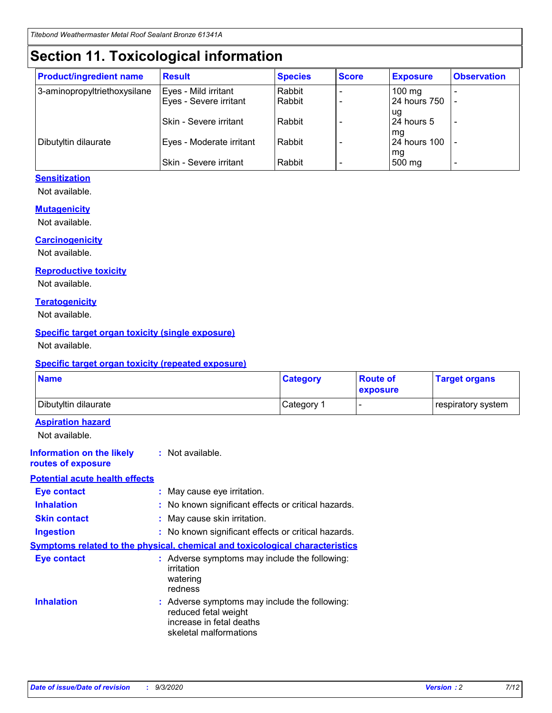# **Section 11. Toxicological information**

| <b>Product/ingredient name</b> | <b>Result</b>            | <b>Species</b> | <b>Score</b> | <b>Exposure</b>    | <b>Observation</b> |
|--------------------------------|--------------------------|----------------|--------------|--------------------|--------------------|
| 3-aminopropyltriethoxysilane   | Eyes - Mild irritant     | Rabbit         |              | $100$ mg           |                    |
|                                | Eyes - Severe irritant   | Rabbit         |              | 24 hours 750       |                    |
|                                |                          |                |              | ug                 |                    |
|                                | Skin - Severe irritant   | Rabbit         |              | 24 hours 5         | -                  |
| Dibutyltin dilaurate           | Eyes - Moderate irritant | Rabbit         |              | mg<br>24 hours 100 |                    |
|                                |                          |                |              | mg                 |                    |
|                                | Skin - Severe irritant   | Rabbit         |              | 500 mg             | -                  |

#### **Sensitization**

Not available.

#### **Mutagenicity**

Not available.

#### **Carcinogenicity**

Not available.

#### **Reproductive toxicity**

Not available.

#### **Teratogenicity**

Not available.

#### **Specific target organ toxicity (single exposure)**

Not available.

#### **Specific target organ toxicity (repeated exposure)**

| <b>Name</b>                                                                  |                                                                                                                             | <b>Category</b>                                     | <b>Route of</b><br>exposure | <b>Target organs</b> |  |  |
|------------------------------------------------------------------------------|-----------------------------------------------------------------------------------------------------------------------------|-----------------------------------------------------|-----------------------------|----------------------|--|--|
| Dibutyltin dilaurate                                                         |                                                                                                                             | Category 1                                          |                             | respiratory system   |  |  |
| <b>Aspiration hazard</b><br>Not available.                                   |                                                                                                                             |                                                     |                             |                      |  |  |
| <b>Information on the likely</b><br>routes of exposure                       | : Not available.                                                                                                            |                                                     |                             |                      |  |  |
| <b>Potential acute health effects</b>                                        |                                                                                                                             |                                                     |                             |                      |  |  |
| <b>Eye contact</b>                                                           | : May cause eye irritation.                                                                                                 |                                                     |                             |                      |  |  |
| <b>Inhalation</b>                                                            |                                                                                                                             | : No known significant effects or critical hazards. |                             |                      |  |  |
| <b>Skin contact</b>                                                          |                                                                                                                             | : May cause skin irritation.                        |                             |                      |  |  |
| <b>Ingestion</b>                                                             |                                                                                                                             | : No known significant effects or critical hazards. |                             |                      |  |  |
| Symptoms related to the physical, chemical and toxicological characteristics |                                                                                                                             |                                                     |                             |                      |  |  |
| <b>Eye contact</b>                                                           | : Adverse symptoms may include the following:<br>irritation<br>watering<br>redness                                          |                                                     |                             |                      |  |  |
| <b>Inhalation</b>                                                            | : Adverse symptoms may include the following:<br>reduced fetal weight<br>increase in fetal deaths<br>skeletal malformations |                                                     |                             |                      |  |  |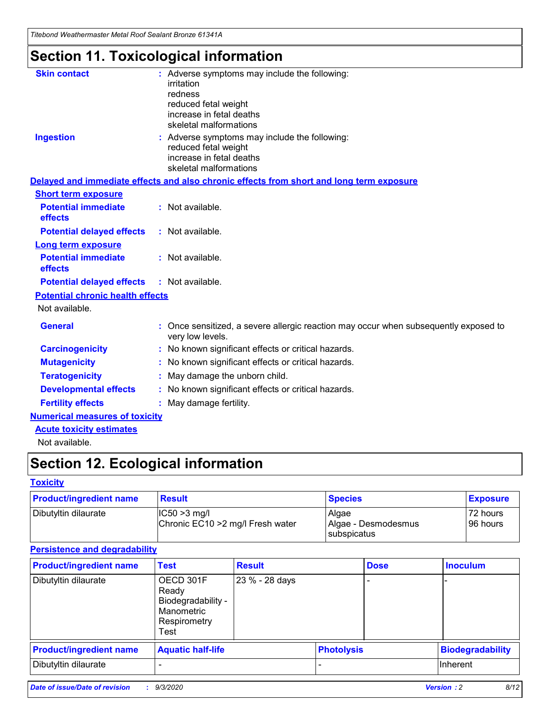*Titebond Weathermaster Metal Roof Sealant Bronze 61341A*

# **Section 11. Toxicological information**

| <b>Skin contact</b>                     | : Adverse symptoms may include the following:<br>irritation<br>redness<br>reduced fetal weight<br>increase in fetal deaths<br>skeletal malformations |
|-----------------------------------------|------------------------------------------------------------------------------------------------------------------------------------------------------|
| <b>Ingestion</b>                        | : Adverse symptoms may include the following:<br>reduced fetal weight<br>increase in fetal deaths<br>skeletal malformations                          |
|                                         | Delayed and immediate effects and also chronic effects from short and long term exposure                                                             |
| <b>Short term exposure</b>              |                                                                                                                                                      |
| <b>Potential immediate</b><br>effects   | : Not available.                                                                                                                                     |
| <b>Potential delayed effects</b>        | : Not available.                                                                                                                                     |
| <b>Long term exposure</b>               |                                                                                                                                                      |
| <b>Potential immediate</b><br>effects   | : Not available.                                                                                                                                     |
| <b>Potential delayed effects</b>        | : Not available.                                                                                                                                     |
| <b>Potential chronic health effects</b> |                                                                                                                                                      |
| Not available.                          |                                                                                                                                                      |
| <b>General</b>                          | : Once sensitized, a severe allergic reaction may occur when subsequently exposed to<br>very low levels.                                             |
| <b>Carcinogenicity</b>                  | : No known significant effects or critical hazards.                                                                                                  |
| <b>Mutagenicity</b>                     | : No known significant effects or critical hazards.                                                                                                  |
| <b>Teratogenicity</b>                   | May damage the unborn child.                                                                                                                         |
| <b>Developmental effects</b>            | : No known significant effects or critical hazards.                                                                                                  |
| <b>Fertility effects</b>                | : May damage fertility.                                                                                                                              |
| <b>Numerical measures of toxicity</b>   |                                                                                                                                                      |
| <b>Acute toxicity estimates</b>         |                                                                                                                                                      |
| الملحلة والمستحيط والمسالم              |                                                                                                                                                      |

Not available.

# **Section 12. Ecological information**

#### **Toxicity**

| <b>Product/ingredient name</b> | <b>Result</b>                                       | <b>Species</b>               | <b>Exposure</b>       |
|--------------------------------|-----------------------------------------------------|------------------------------|-----------------------|
| Dibutyltin dilaurate           | $ CC50>3$ mg/l<br>Chronic EC10 > 2 mg/l Fresh water | Algae<br>Algae - Desmodesmus | 72 hours<br>196 hours |
|                                |                                                     | <b>I</b> subspicatus         |                       |

#### **Persistence and degradability**

| <b>Product/ingredient name</b> | <b>Test</b>                                                                    | <b>Result</b>  |                   | <b>Dose</b> | <b>Inoculum</b>         |
|--------------------------------|--------------------------------------------------------------------------------|----------------|-------------------|-------------|-------------------------|
| Dibutyltin dilaurate           | OECD 301F<br>Ready<br>Biodegradability -<br>Manometric<br>Respirometry<br>Test | 23 % - 28 days |                   |             |                         |
| <b>Product/ingredient name</b> | <b>Aquatic half-life</b>                                                       |                | <b>Photolysis</b> |             | <b>Biodegradability</b> |
| Dibutyltin dilaurate           |                                                                                |                |                   |             | <b>Inherent</b>         |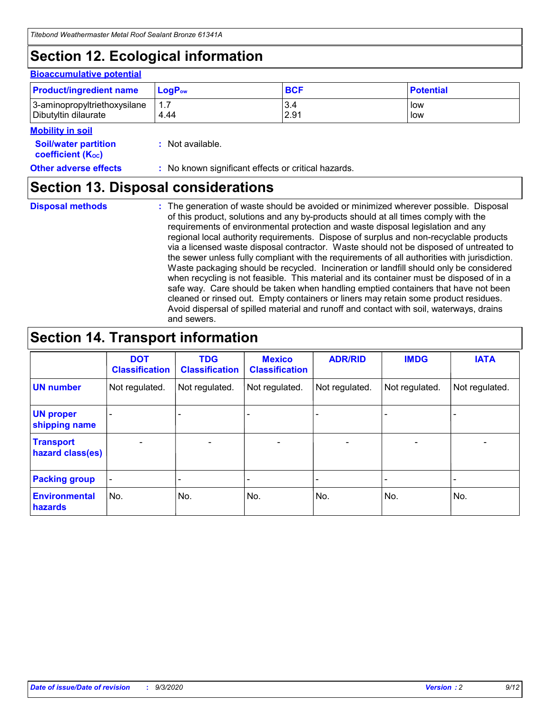# **Section 12. Ecological information**

#### **Bioaccumulative potential**

| <b>Product/ingredient name</b> | $\mathsf{LogP}_\mathsf{ow}$ | <b>BCF</b> | <b>Potential</b> |
|--------------------------------|-----------------------------|------------|------------------|
| 3-aminopropyltriethoxysilane   | 1.7                         | 3.4        | low              |
| Dibutyltin dilaurate           | 4.44                        | 2.91       | low              |

#### **Mobility in soil**

| IVIUWIILV III SUII                                            |                                                     |
|---------------------------------------------------------------|-----------------------------------------------------|
| <b>Soil/water partition</b><br>coefficient (K <sub>oc</sub> ) | : Not available.                                    |
| <b>Other adverse effects</b>                                  | : No known significant effects or critical hazards. |

### **Section 13. Disposal considerations**

**Disposal methods :**

The generation of waste should be avoided or minimized wherever possible. Disposal of this product, solutions and any by-products should at all times comply with the requirements of environmental protection and waste disposal legislation and any regional local authority requirements. Dispose of surplus and non-recyclable products via a licensed waste disposal contractor. Waste should not be disposed of untreated to the sewer unless fully compliant with the requirements of all authorities with jurisdiction. Waste packaging should be recycled. Incineration or landfill should only be considered when recycling is not feasible. This material and its container must be disposed of in a safe way. Care should be taken when handling emptied containers that have not been cleaned or rinsed out. Empty containers or liners may retain some product residues. Avoid dispersal of spilled material and runoff and contact with soil, waterways, drains and sewers.

### **Section 14. Transport information**

|                                      | <b>DOT</b><br><b>Classification</b> | <b>TDG</b><br><b>Classification</b> | <b>Mexico</b><br><b>Classification</b> | <b>ADR/RID</b>           | <b>IMDG</b>              | <b>IATA</b>    |
|--------------------------------------|-------------------------------------|-------------------------------------|----------------------------------------|--------------------------|--------------------------|----------------|
| <b>UN number</b>                     | Not regulated.                      | Not regulated.                      | Not regulated.                         | Not regulated.           | Not regulated.           | Not regulated. |
| <b>UN proper</b><br>shipping name    |                                     |                                     |                                        |                          |                          |                |
| <b>Transport</b><br>hazard class(es) |                                     | $\overline{\phantom{0}}$            | $\qquad \qquad \blacksquare$           | $\overline{\phantom{0}}$ | $\overline{\phantom{0}}$ |                |
| <b>Packing group</b>                 |                                     |                                     |                                        |                          |                          |                |
| <b>Environmental</b><br>hazards      | No.                                 | No.                                 | No.                                    | No.                      | No.                      | No.            |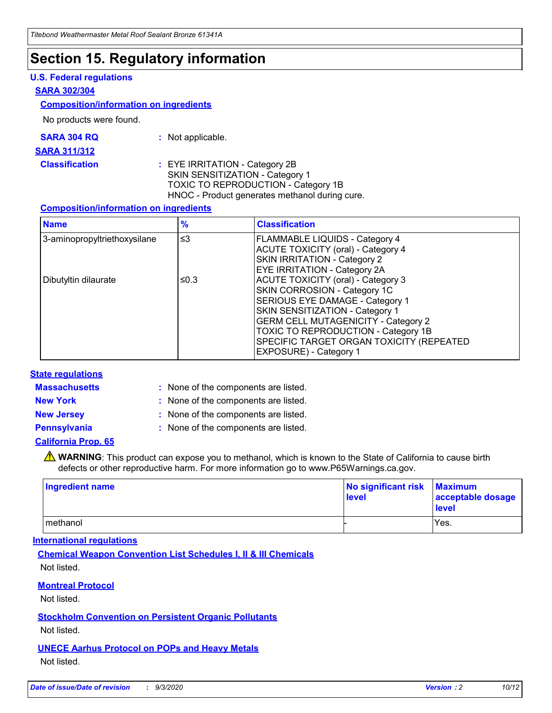# **Section 15. Regulatory information**

#### **U.S. Federal regulations**

#### **SARA 302/304**

#### **Composition/information on ingredients**

No products were found.

| SARA 304 RQ | Not applicable. |
|-------------|-----------------|
|-------------|-----------------|

#### **SARA 311/312**

#### **Classification :** EYE IRRITATION - Category 2B SKIN SENSITIZATION - Category 1 TOXIC TO REPRODUCTION - Category 1B HNOC - Product generates methanol during cure.

#### **Composition/information on ingredients**

| <b>Name</b>                  | $\frac{9}{6}$ | <b>Classification</b>                                                                                                                                                                                                                                                                                      |
|------------------------------|---------------|------------------------------------------------------------------------------------------------------------------------------------------------------------------------------------------------------------------------------------------------------------------------------------------------------------|
| 3-aminopropyltriethoxysilane | $\leq$ 3      | <b>FLAMMABLE LIQUIDS - Category 4</b><br><b>ACUTE TOXICITY (oral) - Category 4</b><br><b>SKIN IRRITATION - Category 2</b><br>EYE IRRITATION - Category 2A                                                                                                                                                  |
| Dibutyltin dilaurate         | ≤0.3          | <b>ACUTE TOXICITY (oral) - Category 3</b><br>SKIN CORROSION - Category 1C<br>SERIOUS EYE DAMAGE - Category 1<br>SKIN SENSITIZATION - Category 1<br><b>GERM CELL MUTAGENICITY - Category 2</b><br>TOXIC TO REPRODUCTION - Category 1B<br>SPECIFIC TARGET ORGAN TOXICITY (REPEATED<br>EXPOSURE) - Category 1 |

#### **State regulations**

**Massachusetts :**

: None of the components are listed.

**New York :** None of the components are listed.

**New Jersey :** None of the components are listed.

**Pennsylvania :** None of the components are listed.

#### **California Prop. 65**

WARNING: This product can expose you to methanol, which is known to the State of California to cause birth defects or other reproductive harm. For more information go to www.P65Warnings.ca.gov.

| Ingredient name | No significant risk<br>level | <b>Maximum</b><br>acceptable dosage<br>level |
|-----------------|------------------------------|----------------------------------------------|
| methanol        |                              | Yes.                                         |

#### **International regulations**

**Chemical Weapon Convention List Schedules I, II & III Chemicals** Not listed.

#### **Montreal Protocol**

Not listed.

**Stockholm Convention on Persistent Organic Pollutants**

Not listed.

#### **UNECE Aarhus Protocol on POPs and Heavy Metals** Not listed.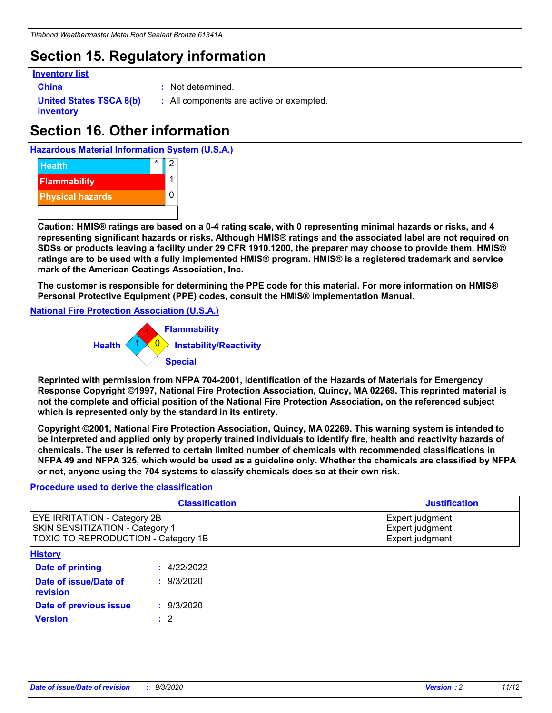# **Section 15. Regulatory information**

#### **Inventory list**

- 
- **China :** Not determined.

**United States TSCA 8(b) inventory**

**:** All components are active or exempted.

# **Section 16. Other information**





**Caution: HMIS® ratings are based on a 0-4 rating scale, with 0 representing minimal hazards or risks, and 4 representing significant hazards or risks. Although HMIS® ratings and the associated label are not required on SDSs or products leaving a facility under 29 CFR 1910.1200, the preparer may choose to provide them. HMIS® ratings are to be used with a fully implemented HMIS® program. HMIS® is a registered trademark and service mark of the American Coatings Association, Inc.**

**The customer is responsible for determining the PPE code for this material. For more information on HMIS® Personal Protective Equipment (PPE) codes, consult the HMIS® Implementation Manual.**

**National Fire Protection Association (U.S.A.)**



**Reprinted with permission from NFPA 704-2001, Identification of the Hazards of Materials for Emergency Response Copyright ©1997, National Fire Protection Association, Quincy, MA 02269. This reprinted material is not the complete and official position of the National Fire Protection Association, on the referenced subject which is represented only by the standard in its entirety.**

**Copyright ©2001, National Fire Protection Association, Quincy, MA 02269. This warning system is intended to be interpreted and applied only by properly trained individuals to identify fire, health and reactivity hazards of chemicals. The user is referred to certain limited number of chemicals with recommended classifications in NFPA 49 and NFPA 325, which would be used as a guideline only. Whether the chemicals are classified by NFPA or not, anyone using the 704 systems to classify chemicals does so at their own risk.**

#### **Procedure used to derive the classification**

| <b>Classification</b>                                                                                                | <b>Justification</b>                                  |
|----------------------------------------------------------------------------------------------------------------------|-------------------------------------------------------|
| <b>EYE IRRITATION - Category 2B</b><br><b>SKIN SENSITIZATION - Category 1</b><br>TOXIC TO REPRODUCTION - Category 1B | Expert judgment<br>Expert judgment<br>Expert judgment |
| <b>History</b>                                                                                                       |                                                       |

| .                                 |             |
|-----------------------------------|-------------|
| <b>Date of printing</b>           | : 4/22/2022 |
| Date of issue/Date of<br>revision | : 9/3/2020  |
| Date of previous issue            | : 9/3/2020  |
| <b>Version</b>                    | $\cdot$ 2   |
|                                   |             |